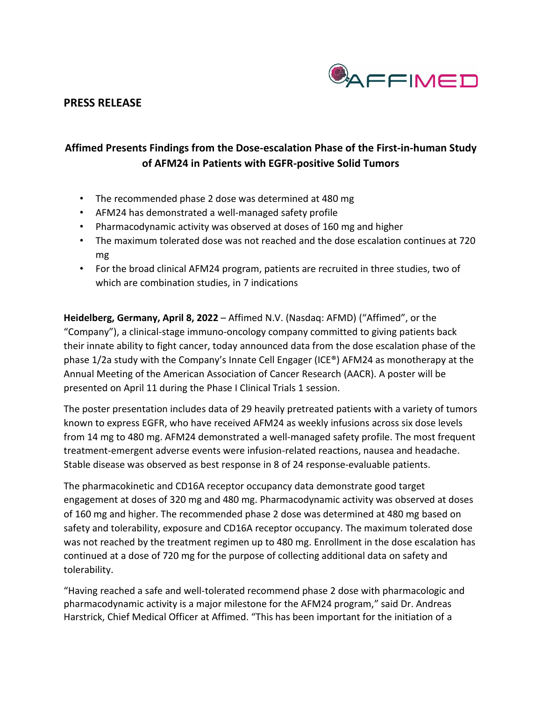

### **PRESS RELEASE**

# **Affimed Presents Findings from the Dose-escalation Phase of the First-in-human Study of AFM24 in Patients with EGFR-positive Solid Tumors**

- The recommended phase 2 dose was determined at 480 mg
- AFM24 has demonstrated a well-managed safety profile
- Pharmacodynamic activity was observed at doses of 160 mg and higher
- The maximum tolerated dose was not reached and the dose escalation continues at 720 mg
- For the broad clinical AFM24 program, patients are recruited in three studies, two of which are combination studies, in 7 indications

**Heidelberg, Germany, April 8, 2022** – Affimed N.V. (Nasdaq: AFMD) ("Affimed", or the "Company"), a clinical-stage immuno-oncology company committed to giving patients back their innate ability to fight cancer, today announced data from the dose escalation phase of the phase 1/2a study with the Company's Innate Cell Engager (ICE®) AFM24 as monotherapy at the Annual Meeting of the American Association of Cancer Research (AACR). A poster will be presented on April 11 during the Phase I Clinical Trials 1 session.

The poster presentation includes data of 29 heavily pretreated patients with a variety of tumors known to express EGFR, who have received AFM24 as weekly infusions across six dose levels from 14 mg to 480 mg. AFM24 demonstrated a well-managed safety profile. The most frequent treatment-emergent adverse events were infusion-related reactions, nausea and headache. Stable disease was observed as best response in 8 of 24 response-evaluable patients.

The pharmacokinetic and CD16A receptor occupancy data demonstrate good target engagement at doses of 320 mg and 480 mg. Pharmacodynamic activity was observed at doses of 160 mg and higher. The recommended phase 2 dose was determined at 480 mg based on safety and tolerability, exposure and CD16A receptor occupancy. The maximum tolerated dose was not reached by the treatment regimen up to 480 mg. Enrollment in the dose escalation has continued at a dose of 720 mg for the purpose of collecting additional data on safety and tolerability.

"Having reached a safe and well-tolerated recommend phase 2 dose with pharmacologic and pharmacodynamic activity is a major milestone for the AFM24 program," said Dr. Andreas Harstrick, Chief Medical Officer at Affimed. "This has been important for the initiation of a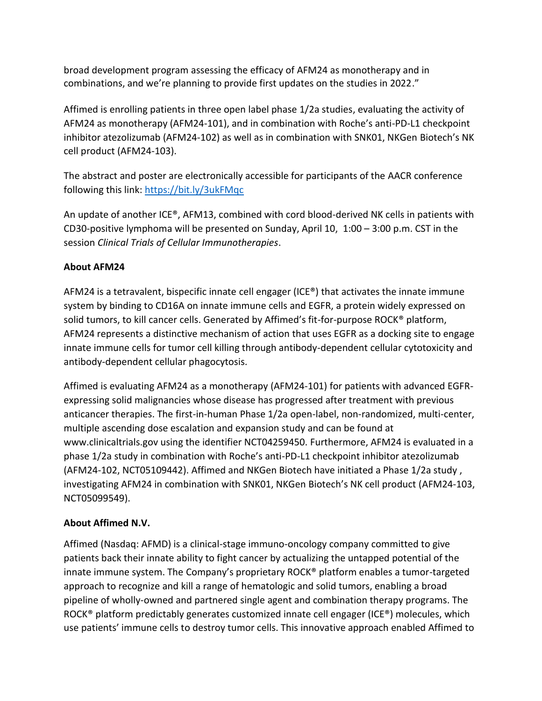broad development program assessing the efficacy of AFM24 as monotherapy and in combinations, and we're planning to provide first updates on the studies in 2022."

Affimed is enrolling patients in three open label phase 1/2a studies, evaluating the activity of AFM24 as monotherapy (AFM24-101), and in combination with Roche's anti-PD-L1 checkpoint inhibitor atezolizumab (AFM24-102) as well as in combination with SNK01, NKGen Biotech's NK cell product (AFM24-103).

The abstract and poster are electronically accessible for participants of the AACR conference following this link: <https://bit.ly/3ukFMqc>

An update of another ICE®, AFM13, combined with cord blood-derived NK cells in patients with CD30-positive lymphoma will be presented on Sunday, April 10, 1:00 – 3:00 p.m. CST in the session *Clinical Trials of Cellular Immunotherapies*.

## **About AFM24**

AFM24 is a tetravalent, bispecific innate cell engager (ICE®) that activates the innate immune system by binding to CD16A on innate immune cells and EGFR, a protein widely expressed on solid tumors, to kill cancer cells. Generated by Affimed's fit-for-purpose ROCK® platform, AFM24 represents a distinctive mechanism of action that uses EGFR as a docking site to engage innate immune cells for tumor cell killing through antibody-dependent cellular cytotoxicity and antibody-dependent cellular phagocytosis.

Affimed is evaluating AFM24 as a monotherapy (AFM24-101) for patients with advanced EGFRexpressing solid malignancies whose disease has progressed after treatment with previous anticancer therapies. The first-in-human Phase 1/2a open-label, non-randomized, multi-center, multiple ascending dose escalation and expansion study and can be found at www.clinicaltrials.gov using the identifier NCT04259450. Furthermore, AFM24 is evaluated in a phase 1/2a study in combination with Roche's anti-PD-L1 checkpoint inhibitor atezolizumab (AFM24-102, NCT05109442). Affimed and NKGen Biotech have initiated a Phase 1/2a study , investigating AFM24 in combination with SNK01, NKGen Biotech's NK cell product (AFM24-103, NCT05099549).

# **About Affimed N.V.**

Affimed (Nasdaq: AFMD) is a clinical-stage immuno-oncology company committed to give patients back their innate ability to fight cancer by actualizing the untapped potential of the innate immune system. The Company's proprietary ROCK® platform enables a tumor-targeted approach to recognize and kill a range of hematologic and solid tumors, enabling a broad pipeline of wholly-owned and partnered single agent and combination therapy programs. The ROCK® platform predictably generates customized innate cell engager (ICE®) molecules, which use patients' immune cells to destroy tumor cells. This innovative approach enabled Affimed to